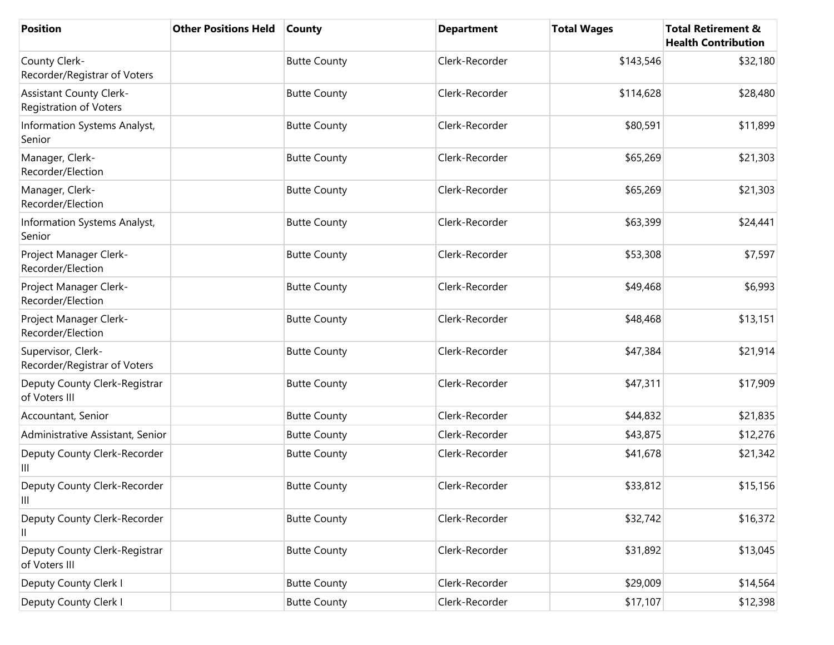| <b>Position</b>                                                 | <b>Other Positions Held</b> | <b>County</b>       | <b>Department</b> | <b>Total Wages</b> | <b>Total Retirement &amp;</b><br><b>Health Contribution</b> |
|-----------------------------------------------------------------|-----------------------------|---------------------|-------------------|--------------------|-------------------------------------------------------------|
| County Clerk-<br>Recorder/Registrar of Voters                   |                             | <b>Butte County</b> | Clerk-Recorder    | \$143,546          | \$32,180                                                    |
| <b>Assistant County Clerk-</b><br><b>Registration of Voters</b> |                             | <b>Butte County</b> | Clerk-Recorder    | \$114,628          | \$28,480                                                    |
| Information Systems Analyst,<br>Senior                          |                             | <b>Butte County</b> | Clerk-Recorder    | \$80,591           | \$11,899                                                    |
| Manager, Clerk-<br>Recorder/Election                            |                             | <b>Butte County</b> | Clerk-Recorder    | \$65,269           | \$21,303                                                    |
| Manager, Clerk-<br>Recorder/Election                            |                             | <b>Butte County</b> | Clerk-Recorder    | \$65,269           | \$21,303                                                    |
| Information Systems Analyst,<br>Senior                          |                             | <b>Butte County</b> | Clerk-Recorder    | \$63,399           | \$24,441                                                    |
| Project Manager Clerk-<br>Recorder/Election                     |                             | <b>Butte County</b> | Clerk-Recorder    | \$53,308           | \$7,597                                                     |
| Project Manager Clerk-<br>Recorder/Election                     |                             | <b>Butte County</b> | Clerk-Recorder    | \$49,468           | \$6,993                                                     |
| Project Manager Clerk-<br>Recorder/Election                     |                             | <b>Butte County</b> | Clerk-Recorder    | \$48,468           | \$13,151                                                    |
| Supervisor, Clerk-<br>Recorder/Registrar of Voters              |                             | <b>Butte County</b> | Clerk-Recorder    | \$47,384           | \$21,914                                                    |
| Deputy County Clerk-Registrar<br>of Voters III                  |                             | <b>Butte County</b> | Clerk-Recorder    | \$47,311           | \$17,909                                                    |
| Accountant, Senior                                              |                             | <b>Butte County</b> | Clerk-Recorder    | \$44,832           | \$21,835                                                    |
| Administrative Assistant, Senior                                |                             | <b>Butte County</b> | Clerk-Recorder    | \$43,875           | \$12,276                                                    |
| Deputy County Clerk-Recorder<br>Ш                               |                             | <b>Butte County</b> | Clerk-Recorder    | \$41,678           | \$21,342                                                    |
| Deputy County Clerk-Recorder<br>Ш                               |                             | <b>Butte County</b> | Clerk-Recorder    | \$33,812           | \$15,156                                                    |
| Deputy County Clerk-Recorder<br>Ш                               |                             | <b>Butte County</b> | Clerk-Recorder    | \$32,742           | \$16,372                                                    |
| Deputy County Clerk-Registrar<br>of Voters III                  |                             | <b>Butte County</b> | Clerk-Recorder    | \$31,892           | \$13,045                                                    |
| Deputy County Clerk I                                           |                             | <b>Butte County</b> | Clerk-Recorder    | \$29,009           | \$14,564                                                    |
| Deputy County Clerk I                                           |                             | <b>Butte County</b> | Clerk-Recorder    | \$17,107           | \$12,398                                                    |